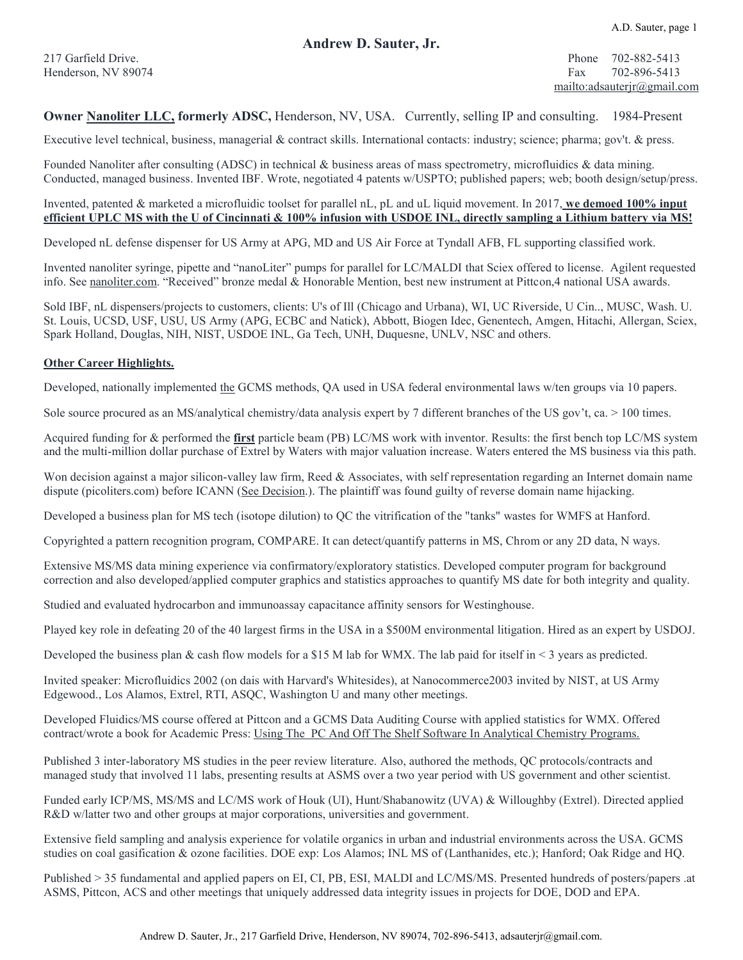#### **Andrew D. Sauter, Jr.**

217 Garfield Drive. Phone 702-882-5413 Henderson, NV 89074 Fax 702-896-5413 [mailto:adsauterjr@gmail.com](mailto:asauter@aol.com)

#### **Owner [Nanoliter](http://www.nanoliter.com/) LLC, formerly ADSC,** Henderson, NV, USA. Currently, selling IP and consulting. 1984-Present

Executive level technical, business, managerial & contract skills. International contacts: industry; science; pharma; gov't. & press.

Founded Nanoliter after consulting (ADSC) in technical & business areas of mass spectrometry, microfluidics & data mining. Conducted, managed business. Invented IBF. Wrote, negotiated 4 patents w/USPTO; published papers; web; booth design/setup/press.

#### Invented, patented & marketed a microfluidic toolset for parallel nL, pL and uL liquid movement. In 2017, **we demoed 100% input efficient UPLC MS with the U of Cincinnati & 100% infusion with USDOE INL, directly sampling a Lithium battery via MS!**

Developed nL defense dispenser for US Army at APG, MD and US Air Force at Tyndall AFB, FL supporting classified work.

Invented nanoliter syringe, pipette and "nanoLiter" pumps for parallel for LC/MALDI that Sciex offered to license. Agilent requested info. See [nanoliter.com](http://www.nanoliter.com/). "Received" bronze medal & Honorable Mention, best new instrument at Pittcon,4 national USA awards.

Sold IBF, nL dispensers/projects to customers, clients: U's of Ill (Chicago and Urbana), WI, UC Riverside, U Cin.., MUSC, Wash. U. St. Louis, UCSD, USF, USU, US Army (APG, ECBC and Natick), Abbott, Biogen Idec, Genentech, Amgen, Hitachi, Allergan, Sciex, Spark Holland, Douglas, NIH, NIST, USDOE INL, Ga Tech, UNH, Duquesne, UNLV, NSC and others.

#### **Other Career Highlights.**

Developed, nationally implemented the GCMS methods, QA used in USA federal environmental laws w/ten groups via 10 papers.

Sole source procured as an MS/analytical chemistry/data analysis expert by 7 different branches of the US gov't, ca. > 100 times.

Acquired funding for & performed the **first** particle beam (PB) LC/MS work with inventor. Results: the first bench top LC/MS system and the multi-million dollar purchase of Extrel by Waters with major valuation increase. Waters entered the MS business via this path.

Won decision against a major silicon-valley law firm, Reed & Associates, with self representation regarding an Internet domain name dispute (picoliters.com) before ICANN [\(See Decision.\)](http://www.arb-forum.com/domains/decisions/122205.htm). The plaintiff was found guilty of reverse domain name hijacking.

Developed a business plan for MS tech (isotope dilution) to QC the vitrification of the "tanks" wastes for WMFS at Hanford.

Copyrighted a pattern recognition program, COMPARE. It can detect/quantify patterns in MS, Chrom or any 2D data, N ways.

Extensive MS/MS data mining experience via confirmatory/exploratory statistics. Developed computer program for background correction and also developed/applied computer graphics and statistics approaches to quantify MS date for both integrity and quality.

Studied and evaluated hydrocarbon and immunoassay capacitance affinity sensors for Westinghouse.

Played key role in defeating 20 of the 40 largest firms in the USA in a \$500M environmental litigation. Hired as an expert by USDOJ.

Developed the business plan & cash flow models for a \$15 M lab for WMX. The lab paid for itself in < 3 years as predicted.

Invited speaker: Microfluidics 2002 (on dais with Harvard's Whitesides), at Nanocommerce2003 invited by NIST, at US Army Edgewood., Los Alamos, Extrel, RTI, ASQC, Washington U and many other meetings.

Developed Fluidics/MS course offered at Pittcon and a GCMS Data Auditing Course with applied statistics for WMX. Offered contract/wrote a book for Academic Press: Using The PC And Off The Shelf Software In Analytical Chemistry Programs.

Published 3 inter-laboratory MS studies in the peer review literature. Also, authored the methods, QC protocols/contracts and managed study that involved 11 labs, presenting results at ASMS over a two year period with US government and other scientist.

Funded early ICP/MS, MS/MS and LC/MS work of Houk (UI), Hunt/Shabanowitz (UVA) & Willoughby (Extrel). Directed applied R&D w/latter two and other groups at major corporations, universities and government.

Extensive field sampling and analysis experience for volatile organics in urban and industrial environments across the USA. GCMS studies on coal gasification & ozone facilities. DOE exp: Los Alamos; INL MS of (Lanthanides, etc.); Hanford; Oak Ridge and HQ.

Published > 35 fundamental and applied papers on EI, CI, PB, ESI, MALDI and LC/MS/MS. Presented hundreds of posters/papers .at ASMS, Pittcon, ACS and other meetings that uniquely addressed data integrity issues in projects for DOE, DOD and EPA.